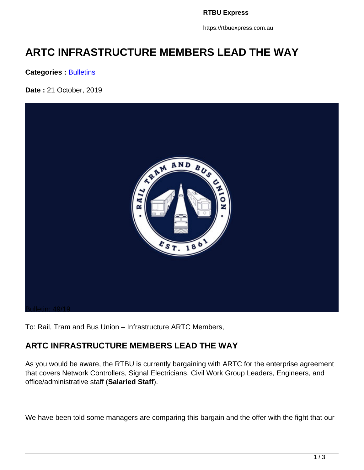**RTBU Express**

https://rtbuexpress.com.au

# **ARTC INFRASTRUCTURE MEMBERS LEAD THE WAY**

**Categories : [Bulletins](https://rtbuexpress.com.au/category/news/bulletins/)** 

**Date :** 21 October, 2019



To: Rail, Tram and Bus Union – Infrastructure ARTC Members,

## **ARTC INFRASTRUCTURE MEMBERS LEAD THE WAY**

As you would be aware, the RTBU is currently bargaining with ARTC for the enterprise agreement that covers Network Controllers, Signal Electricians, Civil Work Group Leaders, Engineers, and office/administrative staff (**Salaried Staff**).

We have been told some managers are comparing this bargain and the offer with the fight that our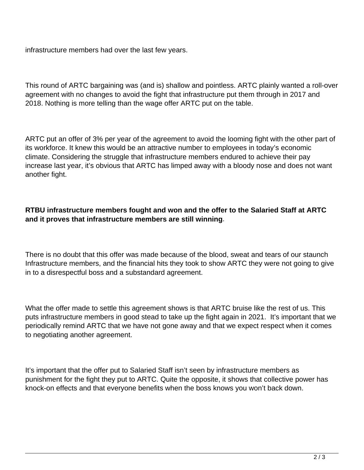infrastructure members had over the last few years.

This round of ARTC bargaining was (and is) shallow and pointless. ARTC plainly wanted a roll-over agreement with no changes to avoid the fight that infrastructure put them through in 2017 and 2018. Nothing is more telling than the wage offer ARTC put on the table.

ARTC put an offer of 3% per year of the agreement to avoid the looming fight with the other part of its workforce. It knew this would be an attractive number to employees in today's economic climate. Considering the struggle that infrastructure members endured to achieve their pay increase last year, it's obvious that ARTC has limped away with a bloody nose and does not want another fight.

#### **RTBU infrastructure members fought and won and the offer to the Salaried Staff at ARTC and it proves that infrastructure members are still winning**.

There is no doubt that this offer was made because of the blood, sweat and tears of our staunch Infrastructure members, and the financial hits they took to show ARTC they were not going to give in to a disrespectful boss and a substandard agreement.

What the offer made to settle this agreement shows is that ARTC bruise like the rest of us. This puts infrastructure members in good stead to take up the fight again in 2021. It's important that we periodically remind ARTC that we have not gone away and that we expect respect when it comes to negotiating another agreement.

It's important that the offer put to Salaried Staff isn't seen by infrastructure members as punishment for the fight they put to ARTC. Quite the opposite, it shows that collective power has knock-on effects and that everyone benefits when the boss knows you won't back down.